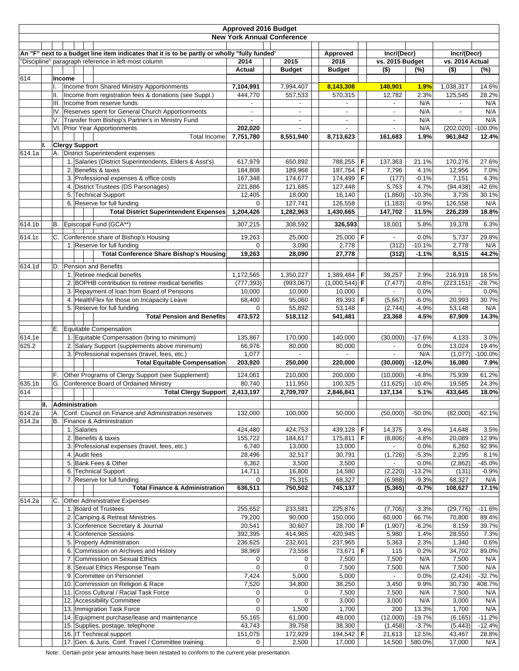| <b>Approved 2016 Budget</b> |     |                    |                       |                                                                                                                                                      |                    |  |                                   |                                          |   |                                |                     |                                |                      |
|-----------------------------|-----|--------------------|-----------------------|------------------------------------------------------------------------------------------------------------------------------------------------------|--------------------|--|-----------------------------------|------------------------------------------|---|--------------------------------|---------------------|--------------------------------|----------------------|
|                             |     |                    |                       |                                                                                                                                                      |                    |  | <b>New York Annual Conference</b> |                                          |   |                                |                     |                                |                      |
|                             |     |                    |                       |                                                                                                                                                      |                    |  |                                   |                                          |   |                                |                     |                                |                      |
|                             |     |                    |                       | An "F" next to a budget line item indicates that it is to be partly or wholly "fully funded"<br>"Discipline" paragraph reference in left-most column | 2015<br>2014       |  |                                   | Approved<br>2016                         |   | Incr/(Decr)<br>vs. 2015 Budget |                     | Incr/(Decr)<br>vs. 2014 Actual |                      |
|                             |     |                    |                       |                                                                                                                                                      | Actual             |  | <b>Budget</b>                     | <b>Budget</b>                            |   | $($ \$)                        | (%)                 | $($ \$)                        | (%)                  |
| 614                         |     |                    | Income                |                                                                                                                                                      |                    |  |                                   |                                          |   |                                |                     |                                |                      |
|                             |     |                    |                       | Income from Shared Ministry Apportionments                                                                                                           | 7,104,991          |  | 7,994,407                         | 8,143,308                                |   | 148,901                        | 1.9%                | 1,038,317                      | 14.6%                |
|                             |     | Ш.                 |                       | Income from registration fees & donations (see Suppl.)                                                                                               | 444,770            |  | 557,533                           | 570,315                                  |   | 12,782                         | 2.3%                | 125,545                        | 28.2%                |
|                             |     |                    |                       | III. Income from reserve funds                                                                                                                       |                    |  |                                   | $\overline{\phantom{a}}$                 |   | $\overline{\phantom{a}}$       | N/A                 |                                | N/A                  |
|                             |     |                    |                       | IV. Reserves spent for General Church Apportionments                                                                                                 | $\blacksquare$     |  | $\blacksquare$                    | $\blacksquare$                           |   | $\blacksquare$                 | N/A                 |                                | N/A                  |
|                             |     |                    |                       | V. Transfer from Bishop's Partner's in Ministry Fund<br>VI. Prior Year Apportionments                                                                | 202,020            |  |                                   |                                          |   | $\overline{\phantom{a}}$       | N/A<br>N/A          | (202, 020)                     | N/A<br>$-100.0%$     |
|                             |     |                    |                       | <b>Total Income</b>                                                                                                                                  | 7,751,780          |  | 8,551,940                         | 8,713,623                                |   | 161,683                        | 1.9%                | 961,842                        | 12.4%                |
|                             | II. |                    | <b>Clergy Support</b> |                                                                                                                                                      |                    |  |                                   |                                          |   |                                |                     |                                |                      |
| 614.1a                      |     |                    |                       | A. District Superintendent expenses                                                                                                                  |                    |  |                                   |                                          |   |                                |                     |                                |                      |
|                             |     |                    |                       | 1. Salaries (District Superintendents, Elders & Asst's)                                                                                              | 617,979            |  | 650,892                           | 788,255                                  | F | 137,363                        | 21.1%               | 170,276                        | 27.6%                |
|                             |     |                    |                       | 2. Benefits & taxes                                                                                                                                  | 184,808            |  | 189,968                           | 197,764                                  | F | 7,796                          | 4.1%                | 12,956                         | 7.0%                 |
|                             |     |                    |                       | 3. Professional expenses & office costs                                                                                                              | 167,348            |  | 174,677                           | 174,499   <b>F</b>                       |   | (177)                          | $-0.1%$             | 7,151                          | 4.3%                 |
|                             |     |                    |                       | 4. District Trustees (DS Parsonages)                                                                                                                 | 221,886            |  | 121,685                           | 127,448                                  |   | 5,763                          | 4.7%                | (94, 438)                      | $-42.6%$             |
|                             |     |                    |                       | 5. Technical Support<br>6. Reserve for full funding                                                                                                  | 12,405<br>$\Omega$ |  | 18,000<br>127,741                 | 16,140<br>126,558                        |   | (1,860)<br>(1, 183)            | $-10.3%$<br>$-0.9%$ | 3,735                          | 30.1%<br>N/A         |
|                             |     |                    |                       | <b>Total District Superintendent Expenses</b>                                                                                                        | 1,204,426          |  | 1,282,963                         | 1,430,665                                |   | 147,702                        | 11.5%               | 126,558<br>226,239             | 18.8%                |
|                             |     |                    |                       |                                                                                                                                                      |                    |  |                                   |                                          |   |                                |                     |                                |                      |
| 614.1b                      |     |                    |                       | B. Episcopal Fund (GCA**)                                                                                                                            | 307,215            |  | 308,592                           | 326,593                                  |   | 18,001                         | 5.8%                | 19,378                         | 6.3%                 |
| 614.1c                      |     |                    |                       | C. Conference share of Bishop's Housing                                                                                                              | 19,263             |  | 25,000                            | 25,000 $F$                               |   |                                | 0.0%                | 5,737                          | 29.8%                |
|                             |     |                    |                       | 1. Reserve for full funding                                                                                                                          | 0                  |  | 3,090                             | 2,778                                    |   | (312)                          | $-10.1%$            | 2,778                          | N/A                  |
|                             |     |                    |                       | <b>Total Conference Share Bishop's Housing</b>                                                                                                       | 19,263             |  | 28,090                            | 27,778                                   |   | (312)                          | $-1.1%$             | 8,515                          | 44.2%                |
| 614.1d                      |     |                    |                       | D. Pension and Benefits                                                                                                                              |                    |  |                                   |                                          |   |                                |                     |                                |                      |
|                             |     |                    |                       | 1. Retiree medical benefits                                                                                                                          | 1,172,565          |  | 1,350,227                         | 1,389,484   <b>F</b>                     |   | 39,257                         | 2.9%                | 216,919                        | 18.5%                |
|                             |     |                    |                       | 2. BOPHB contribution to retiree medical benefits                                                                                                    | (777, 393)         |  | (993,067)                         | $(1,000,544)$ F                          |   | (7, 477)                       | $-0.8%$             | (223, 151)                     | $-28.7%$             |
|                             |     |                    |                       | 3. Repayment of loan from Board of Pensions                                                                                                          | 10,000             |  | 10,000                            | 10,000                                   |   | $\overline{\phantom{a}}$       | 0.0%                | $\overline{\phantom{a}}$       | 0.0%                 |
|                             |     |                    |                       | 4. HealthFlex for those on Incapacity Leave                                                                                                          | 68,400             |  | 95,060                            | 89,393 F                                 |   | (5,667)                        | $-6.0%$             | 20,993                         | 30.7%                |
|                             |     |                    |                       | 5. Reserve for full funding                                                                                                                          | 0                  |  | 55,892                            | 53,148                                   |   | (2,744)                        | $-4.9%$             | 53,148                         | N/A                  |
|                             |     |                    |                       | <b>Total Pension and Benefits</b>                                                                                                                    | 473,572            |  | 518,112                           | 541,481                                  |   | 23,368                         | 4.5%                | 67,909                         | 14.3%                |
|                             |     |                    |                       | E. Equitable Compensation                                                                                                                            |                    |  |                                   |                                          |   |                                |                     |                                |                      |
| 614.1e                      |     |                    |                       | 1. Equitable Compensation (bring to minimum)                                                                                                         | 135,867            |  | 170,000                           | 140,000                                  |   | (30,000)                       | $-17.6%$            | 4,133                          | 3.0%                 |
| 625.2                       |     |                    |                       | 2. Salary Support (supplements above minimum)                                                                                                        | 66,976             |  | 80,000                            | 80,000                                   |   | $\overline{a}$                 | 0.0%                | 13,024                         | 19.4%                |
|                             |     |                    |                       | 3. Professional expenses (travel, fees, etc.)                                                                                                        | 1,077              |  |                                   |                                          |   |                                | N/A                 | (1.077)                        | $-100.0%$            |
|                             |     |                    |                       | <b>Total Equitable Compensation</b>                                                                                                                  | 203,920            |  | 250,000                           | 220,000                                  |   | (30,000)                       | $-12.0%$            | 16,080                         | 7.9%                 |
|                             |     |                    |                       | F. Other Programs of Clergy Support (see Supplement)                                                                                                 | 124,061            |  | 210,000                           | 200,000                                  |   | (10,000)                       | $-4.8%$             | 75,939                         | 61.2%                |
| 635.1b                      |     |                    |                       | G. Conference Board of Ordained Ministry                                                                                                             | 80,740             |  | 111,950                           | 100,325                                  |   | (11, 625)                      | $-10.4%$            | 19,585                         | 24.3%                |
| 614                         |     |                    |                       | <b>Total Clergy Support</b>                                                                                                                          | 2,413,197          |  | 2,709,707                         | 2,846,841                                |   | 137,134                        | 5.1%                | 433,645                        | 18.0%                |
|                             |     | II. Administration |                       |                                                                                                                                                      |                    |  |                                   |                                          |   |                                |                     |                                |                      |
| 614.2a                      |     |                    |                       | A. Conf. Council on Finance and Administration reserves                                                                                              | 132,000            |  | 100,000                           | 50,000                                   |   | (50,000)                       | $-50.0%$            | (82,000)                       | $-62.1%$             |
| 614.2a                      |     |                    |                       | B. Finance & Administration                                                                                                                          |                    |  |                                   |                                          |   |                                |                     |                                |                      |
|                             |     |                    | 1. Salaries           | 2. Benefits & taxes                                                                                                                                  | 424,480            |  | 424,753<br>184,617                | 439,128   <b>F</b><br>175,811   <b>F</b> |   | 14,375                         | 3.4%<br>$-4.8%$     | 14,648                         | 3.5%                 |
|                             |     |                    |                       | 3. Professional expenses (travel, fees, etc.)                                                                                                        | 155,722<br>6,740   |  | 13,000                            | 13,000                                   |   | (8,806)                        | 0.0%                | 20,089<br>6,260                | 12.9%<br>92.9%       |
|                             |     |                    | 4. Audit fees         |                                                                                                                                                      | 28,496             |  | 32,517                            | 30,791                                   |   | (1,726)                        | $-5.3%$             | 2,295                          | 8.1%                 |
|                             |     |                    |                       | 5. Bank Fees & Other                                                                                                                                 | 6,362              |  | 3,500                             | 3,500                                    |   |                                | 0.0%                | (2,862)                        | -45.0%               |
|                             |     |                    |                       | 6. Technical Support                                                                                                                                 | 14,711             |  | 16,800                            | 14,580                                   |   | (2, 220)                       | $-13.2%$            | (131)                          | $-0.9%$              |
|                             |     |                    |                       | 7. Reserve for full funding                                                                                                                          | 0                  |  | 75,315                            | 68,327                                   |   | (6,988)                        | $-9.3%$             | 68,327                         | N/A                  |
|                             |     |                    |                       | <b>Total Finance &amp; Administration</b>                                                                                                            | 636,511            |  | 750,502                           | 745,137                                  |   | (5, 365)                       | $-0.7%$             | 108,627                        | 17.1%                |
| 614.2a                      |     |                    |                       | C. Other Administrative Expenses                                                                                                                     |                    |  |                                   |                                          |   |                                |                     |                                |                      |
|                             |     |                    |                       | 1. Board of Trustees                                                                                                                                 | 255,652            |  | 233,581                           | 225,876                                  |   | (7,705)                        | $-3.3%$             | (29, 776)                      | $-11.6%$             |
|                             |     |                    |                       | 2. Camping & Retreat Ministries                                                                                                                      | 79,200             |  | 90,000                            | 150,000                                  |   | 60,000                         | 66.7%               | 70,800                         | 89.4%                |
|                             |     |                    |                       | 3. Conference Secretary & Journal                                                                                                                    | 20,541             |  | 30,607                            | 28,700 F                                 |   | (1,907)                        | $-6.2%$             | 8,159                          | 39.7%                |
|                             |     |                    |                       | 4. Conference Sessions                                                                                                                               | 392,395            |  | 414,965                           | 420,945                                  |   | 5,980                          | 1.4%                | 28,550                         | 7.3%                 |
|                             |     |                    |                       | 5. Property Administration<br>6. Commission on Archives and History                                                                                  | 236,625<br>38,969  |  | 232,601<br>73,556                 | 237,965<br>73,671   <b>F</b>             |   | 5,363<br>115                   | 2.3%<br>0.2%        | 1,340<br>34,702                | 0.6%<br>89.0%        |
|                             |     |                    |                       | 7. Commission on Sexual Ethics                                                                                                                       | 0                  |  | 0                                 | 7,500                                    |   | 7,500                          | N/A                 | 7,500                          | N/A                  |
|                             |     |                    |                       | 8. Sexual Ethics Response Team                                                                                                                       | $\mathbf 0$        |  | $\mathbf 0$                       | 7,500                                    |   | 7,500                          | N/A                 | 7,500                          | N/A                  |
|                             |     |                    |                       | 9. Committee on Personnel                                                                                                                            | 7,424              |  | 5,000                             | 5,000                                    |   | $\overline{\phantom{a}}$       | 0.0%                | (2, 424)                       | $-32.7%$             |
|                             |     |                    |                       | 10. Commission on Religion & Race                                                                                                                    | 7,520              |  | 34,800                            | 38,250                                   |   | 3,450                          | 9.9%                | 30,730                         | 408.7%               |
|                             |     |                    |                       | 11. Cross Cultural / Racial Task Force                                                                                                               | 0                  |  | 0                                 | 7,500                                    |   | 7,500                          | N/A                 | 7,500                          | N/A                  |
|                             |     |                    |                       | 12. Accessibility Committee                                                                                                                          | 0                  |  | 0                                 | 3,000                                    |   | 3,000                          | N/A                 | 3,000                          | N/A                  |
|                             |     |                    |                       | 13. Immigration Task Force                                                                                                                           | 0                  |  | 1,500                             | 1,700                                    |   | 200                            | 13.3%               | 1,700                          | N/A                  |
|                             |     |                    |                       | 14. Equipment purchase/lease and maintenance<br>15. Supplies, postage, telephone                                                                     | 55,165<br>43,743   |  | 61,000<br>39,758                  | 49,000<br>38,300                         |   | (12,000)<br>(1, 458)           | $-19.7%$<br>$-3.7%$ | (6, 165)<br>(5, 443)           | $-11.2%$<br>$-12.4%$ |
|                             |     |                    |                       | 16. IT Technical support                                                                                                                             | 151,075            |  | 172,929                           | 194,542 F                                |   | 21,613                         | 12.5%               | 43,467                         | 28.8%                |
|                             |     |                    |                       | 17. Gen. & Juris. Conf. Travel / Committee training                                                                                                  | 0                  |  | 2,500                             | 17,000                                   |   | 14,500                         | 580.0%              | 17,000                         | N/A                  |

Note: Certain prior year amounts have been restated to conform to the current year presentation.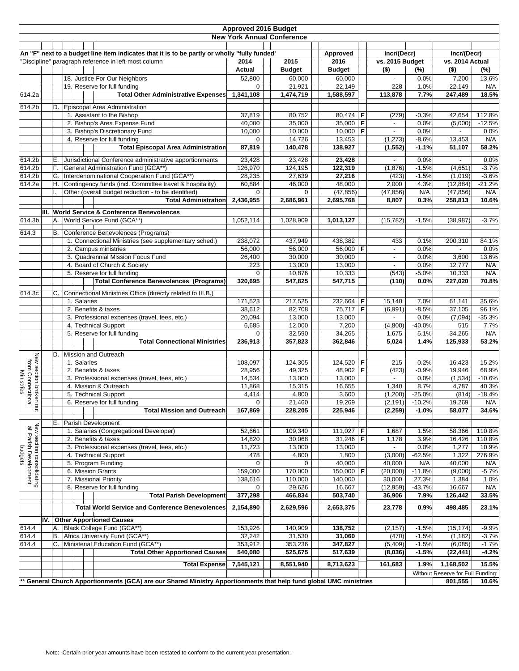| Approved 2016 Budget                                           |                                                                                                                                     |                                                      |  |  |                             |                                                                                              |                    |        |                    |          |                   |             |                          |                   |                                   |               |
|----------------------------------------------------------------|-------------------------------------------------------------------------------------------------------------------------------------|------------------------------------------------------|--|--|-----------------------------|----------------------------------------------------------------------------------------------|--------------------|--------|--------------------|----------|-------------------|-------------|--------------------------|-------------------|-----------------------------------|---------------|
| <b>New York Annual Conference</b>                              |                                                                                                                                     |                                                      |  |  |                             |                                                                                              |                    |        |                    |          |                   |             |                          |                   |                                   |               |
|                                                                |                                                                                                                                     |                                                      |  |  |                             |                                                                                              |                    |        |                    |          |                   |             |                          |                   |                                   |               |
|                                                                |                                                                                                                                     |                                                      |  |  |                             | An "F" next to a budget line item indicates that it is to be partly or wholly "fully funded" |                    |        |                    | Approved |                   | Incr/(Decr) |                          | Incr/(Decr)       |                                   |               |
|                                                                |                                                                                                                                     | "Discipline" paragraph reference in left-most column |  |  |                             |                                                                                              | 2015<br>2014       |        |                    |          | 2016              |             | vs. 2015 Budget          |                   | vs. 2014 Actual                   |               |
|                                                                |                                                                                                                                     |                                                      |  |  |                             |                                                                                              | Actual             |        | <b>Budget</b>      |          | <b>Budget</b>     |             | $($ \$)                  | (%)               | $($ \$)                           | $\sqrt{(26)}$ |
|                                                                |                                                                                                                                     |                                                      |  |  |                             | 18. Justice For Our Neighbors                                                                | 52,800             |        | 60,000             |          | 60.000            |             |                          | 0.0%              | 7,200                             | 13.6%         |
|                                                                |                                                                                                                                     |                                                      |  |  |                             | 19. Reserve for full funding                                                                 | 0                  |        | 21,921             |          | 22,149            |             | 228                      | 1.0%              | 22,149                            | N/A           |
| 614.2a                                                         |                                                                                                                                     |                                                      |  |  |                             | <b>Total Other Administrative Expenses</b>                                                   | 1,341,108          |        | 1,474,719          |          | 1,588,597         |             | 113,878                  | 7.7%              | 247,489                           | 18.5%         |
| 614.2b                                                         |                                                                                                                                     | D.                                                   |  |  |                             | Episcopal Area Administration                                                                |                    |        |                    |          |                   |             |                          |                   |                                   |               |
|                                                                |                                                                                                                                     |                                                      |  |  |                             | 1. Assistant to the Bishop                                                                   | 37,819             |        | 80,752             |          | 80,474 $F$        |             | (279)                    | $-0.3%$           | 42,654                            | 112.8%        |
|                                                                |                                                                                                                                     |                                                      |  |  |                             | 2. Bishop's Area Expense Fund                                                                | 40,000             |        | 35.000             |          | 35,000 F          |             | $\overline{\phantom{a}}$ | 0.0%              | (5,000)                           | $-12.5%$      |
|                                                                |                                                                                                                                     |                                                      |  |  |                             | 3. Bishop's Discretionary Fund                                                               | 10,000             |        | 10,000             |          | 10,000 F          |             | $\overline{\phantom{0}}$ | 0.0%              | $\mathcal{L}^{\mathcal{L}}$       | 0.0%          |
|                                                                |                                                                                                                                     |                                                      |  |  | 4, Reserve for full funding | 0                                                                                            |                    | 14,726 |                    | 13,453   |                   | (1, 273)    | $-8.6%$                  | 13,453            | N/A                               |               |
|                                                                |                                                                                                                                     |                                                      |  |  |                             | <b>Total Episcopal Area Administration</b>                                                   | 87,819             |        | 140,478            |          | 138,927           |             | (1, 552)                 | $-1.1%$           | 51,107                            | 58.2%         |
| 614.2b                                                         |                                                                                                                                     | Е.                                                   |  |  |                             | Jurisdictional Conference administrative apportionments                                      | 23,428             |        | 23,428             |          | 23,428            |             | $\overline{\phantom{0}}$ | 0.0%              |                                   | 0.0%          |
| 614.2b                                                         |                                                                                                                                     |                                                      |  |  |                             | General Administration Fund (GCA**)                                                          | 126,970            |        | 124,195            |          | 122,319           |             | (1,876)                  | $-1.5%$           | (4,651)                           | $-3.7%$       |
| 614.2b                                                         |                                                                                                                                     | G.                                                   |  |  |                             | Interdenominational Cooperation Fund (GCA**)                                                 | 28,235             |        | 27,639             |          | 27,216            |             | (423)                    | $-1.5%$           | (1,019)                           | $-3.6%$       |
| 614.2a                                                         |                                                                                                                                     | Η.                                                   |  |  |                             | Contingency funds (incl. Committee travel & hospitality)                                     | 60,884             |        | 46,000             |          | 48,000            |             | 2,000                    | 4.3%              | (12, 884)                         | $-21.2%$      |
|                                                                |                                                                                                                                     |                                                      |  |  |                             | Other (overall budget reduction - to be identified)                                          | 0                  |        | $\mathbf 0$        |          | (47, 856)         |             | (47, 856)                | N/A               | (47, 856)                         | N/A           |
|                                                                |                                                                                                                                     |                                                      |  |  |                             | <b>Total Administration</b>                                                                  | 2,436,955          |        | 2,686,961          |          | 2,695,768         |             | 8,807                    | 0.3%              | 258,813                           | 10.6%         |
|                                                                |                                                                                                                                     |                                                      |  |  |                             | III. World Service & Conference Benevolences                                                 |                    |        |                    |          |                   |             |                          |                   |                                   |               |
| 614.3b                                                         |                                                                                                                                     |                                                      |  |  |                             | A. World Service Fund (GCA**)                                                                | 1,052,114          |        | 1,028,909          |          | 1,013,127         |             | (15, 782)                | $-1.5%$           | (38, 987)                         | $-3.7%$       |
| 614.3                                                          |                                                                                                                                     | В.                                                   |  |  |                             | Conference Benevolences (Programs)                                                           |                    |        |                    |          |                   |             |                          |                   |                                   |               |
|                                                                |                                                                                                                                     |                                                      |  |  |                             | 1. Connectional Ministries (see supplementary sched.)                                        | 238,072            |        | 437,949            |          | 438,382           |             | 433                      | 0.1%              | 200,310                           | 84.1%         |
|                                                                |                                                                                                                                     |                                                      |  |  |                             | 2. Campus ministries                                                                         | 56,000             |        | 56,000             |          | 56,000 F          |             | $\overline{\phantom{a}}$ | 0.0%              | $\blacksquare$                    | 0.0%          |
|                                                                |                                                                                                                                     |                                                      |  |  |                             | 3. Quadrennial Mission Focus Fund                                                            | 26,400             |        | 30,000             |          | 30,000            |             |                          | 0.0%              | 3,600                             | 13.6%         |
|                                                                |                                                                                                                                     |                                                      |  |  |                             | 4. Board of Church & Society                                                                 | 223                |        | 13,000             |          | 13,000            |             | $\overline{\phantom{a}}$ | 0.0%              | 12,777                            | N/A           |
|                                                                |                                                                                                                                     |                                                      |  |  |                             | 5. Reserve for full funding                                                                  | 0                  |        | 10,876             |          | 10,333            |             | (543)                    | $-5.0%$           | 10,333                            | N/A           |
|                                                                |                                                                                                                                     |                                                      |  |  |                             | <b>Total Conference Benevolences (Programs)</b>                                              | 320,695            |        | 547,825            |          | 547,715           |             | (110)                    | 0.0%              | 227,020                           | 70.8%         |
| 614.3c                                                         |                                                                                                                                     | C.                                                   |  |  |                             | Connectional Ministries Office (directly related to III.B.)                                  |                    |        |                    |          |                   |             |                          |                   |                                   |               |
|                                                                |                                                                                                                                     |                                                      |  |  | 1. Salaries                 |                                                                                              | 171,523            |        | 217,525            |          | 232,664 F         |             | 15,140                   | 7.0%              | 61,141                            | 35.6%         |
|                                                                |                                                                                                                                     |                                                      |  |  |                             | 2. Benefits & taxes                                                                          | 38,612             |        | 82,708             |          | 75,717 F          |             | (6,991)                  | $-8.5%$           | 37,105                            | 96.1%         |
|                                                                |                                                                                                                                     |                                                      |  |  |                             | 3. Professional expenses (travel, fees, etc.)                                                | 20,094             |        | 13,000             |          | 13,000            |             | $\overline{\phantom{a}}$ | 0.0%              | (7,094)                           | $-35.3%$      |
|                                                                |                                                                                                                                     |                                                      |  |  |                             | 4. Technical Support                                                                         | 6,685              |        | 12,000             |          | 7,200             |             | (4,800)                  | $-40.0%$          | 515                               | 7.7%          |
|                                                                |                                                                                                                                     |                                                      |  |  |                             | 5. Reserve for full funding                                                                  | 0                  |        | 32,590             |          | 34,265            |             | 1,675                    | 5.1%              | 34,265                            | N/A           |
|                                                                |                                                                                                                                     |                                                      |  |  |                             | <b>Total Connectional Ministries</b>                                                         | 236,913            |        | 357,823            |          | 362,846           |             | 5,024                    | 1.4%              | 125,933                           | 53.2%         |
|                                                                |                                                                                                                                     | D.                                                   |  |  |                             | Mission and Outreach                                                                         |                    |        |                    |          |                   |             |                          |                   |                                   |               |
| New section broken                                             |                                                                                                                                     |                                                      |  |  | 1. Salaries                 |                                                                                              | 108,097            |        | 124,305            |          | 124,520 F         |             | 215                      | 0.2%              | 16,423                            | 15.2%         |
| from Connectiona                                               |                                                                                                                                     |                                                      |  |  |                             | 2. Benefits & taxes                                                                          | 28,956             |        | 49,325             |          | 48,902 F          |             | (423)                    | $-0.9%$           | 19,946                            | 68.9%         |
| <b>Ministries</b>                                              |                                                                                                                                     |                                                      |  |  |                             | 3. Professional expenses (travel, fees, etc.)                                                | 14,534             |        | 13,000             |          | 13,000            |             | $\blacksquare$           | 0.0%              | (1,534)                           | $-10.6%$      |
|                                                                |                                                                                                                                     |                                                      |  |  |                             | 4. Mission & Outreach                                                                        | 11,868             |        | 15,315             |          | 16,655            |             | 1,340                    | 8.7%              | 4,787                             | 40.3%         |
|                                                                |                                                                                                                                     |                                                      |  |  |                             | 5. Technical Support                                                                         | 4,414              |        | 4,800              |          | 3,600             |             | (1,200)                  | $-25.0%$          | (814)                             | $-18.4%$      |
| g                                                              |                                                                                                                                     |                                                      |  |  |                             | 6. Reserve for full funding                                                                  | 0                  |        | 21,460             |          | 19,269            |             | (2.191)                  | $-10.2%$          | 19,269                            | N/A           |
|                                                                |                                                                                                                                     |                                                      |  |  |                             | <b>Total Mission and Outreach</b>                                                            | 167,869            |        | 228,205            |          | 225,946           |             | (2, 259)                 | $-1.0%$           | 58,077                            | 34.6%         |
|                                                                |                                                                                                                                     | Е.                                                   |  |  |                             | Parish Development                                                                           |                    |        |                    |          |                   |             |                          |                   |                                   |               |
| New section consolidating<br>all Parish Development<br>budgets |                                                                                                                                     |                                                      |  |  |                             | 1. Salaries (Congregational Developer)                                                       | 52,661             |        | 109,340            |          | 111,027 F         |             | 1,687                    | 1.5%              | 58,366                            | 110.8%        |
|                                                                |                                                                                                                                     |                                                      |  |  |                             | 2. Benefits & taxes                                                                          | 14,820             |        | 30,068             |          | 31,246   F        |             | 1,178                    | 3.9%              | 16,426                            | 110.8%        |
|                                                                |                                                                                                                                     |                                                      |  |  |                             | 3. Professional expenses (travel, fees, etc.)                                                | 11,723             |        | 13,000             |          | 13,000            |             | $\overline{\phantom{a}}$ | 0.0%              | 1,277                             | 10.9%         |
|                                                                |                                                                                                                                     |                                                      |  |  |                             | 4. Technical Support                                                                         | 478                |        | 4,800              |          | 1,800             |             | (3,000)                  | $-62.5%$          | 1,322                             | 276.9%        |
|                                                                |                                                                                                                                     |                                                      |  |  |                             | 5. Program Funding                                                                           | 0                  |        | 0                  |          | 40,000            |             | 40,000                   | N/A               | 40,000                            | N/A           |
|                                                                |                                                                                                                                     |                                                      |  |  |                             | 6. Mission Grants<br>7. Missional Priority                                                   | 159,000<br>138,616 |        | 170,000<br>110,000 |          | 150,000 F         |             | (20,000)                 | $-11.8%$<br>27.3% | (9,000)<br>1,384                  | $-5.7%$       |
|                                                                |                                                                                                                                     |                                                      |  |  |                             | 8. Reserve for full funding                                                                  | 0                  |        | 29,626             |          | 140,000<br>16,667 |             | 30,000<br>(12, 959)      | $-43.7%$          | 16,667                            | 1.0%<br>N/A   |
|                                                                |                                                                                                                                     |                                                      |  |  |                             | <b>Total Parish Development</b>                                                              | 377,298            |        | 466,834            |          | 503,740           |             | 36,906                   | 7.9%              | 126,442                           | 33.5%         |
|                                                                |                                                                                                                                     |                                                      |  |  |                             |                                                                                              | 2,154,890          |        |                    |          |                   |             |                          |                   |                                   |               |
|                                                                | <b>Total World Service and Conference Benevolences</b>                                                                              |                                                      |  |  |                             |                                                                                              |                    |        | 2,629,596          |          | 2,653,375         |             | 23,778                   | 0.9%              | 498,485                           | 23.1%         |
|                                                                | IV.                                                                                                                                 |                                                      |  |  |                             | <b>Other Apportioned Causes</b>                                                              |                    |        |                    |          |                   |             |                          |                   |                                   |               |
| 614.4                                                          | A. Black College Fund (GCA**)                                                                                                       |                                                      |  |  |                             |                                                                                              | 153,926            |        | 140,909            |          | 138,752           |             | (2, 157)                 | $-1.5%$           | (15, 174)                         | $-9.9%$       |
| 614.4                                                          |                                                                                                                                     | В.                                                   |  |  |                             | Africa University Fund (GCA**)                                                               | 32,242             |        | 31,530             |          | 31,060            |             | (470)                    | $-1.5%$           | (1, 182)                          | $-3.7%$       |
| 614.4                                                          |                                                                                                                                     | С.                                                   |  |  |                             | Ministerial Education Fund (GCA**)                                                           | 353,912            |        | 353,236            |          | 347,827           |             | (5,409)                  | $-1.5%$           | (6,085)                           | $-1.7%$       |
|                                                                |                                                                                                                                     |                                                      |  |  |                             | <b>Total Other Apportioned Causes</b>                                                        | 540,080            |        | 525,675            |          | 517,639           |             | (8,036)                  | $-1.5%$           | (22,441)                          | $-4.2%$       |
|                                                                |                                                                                                                                     |                                                      |  |  |                             | <b>Total Expense</b>                                                                         | 7,545,121          |        | 8,551,940          |          | 8,713,623         |             | 161,683                  | 1.9%              | 1,168,502                         | 15.5%         |
|                                                                |                                                                                                                                     |                                                      |  |  |                             |                                                                                              |                    |        |                    |          |                   |             |                          |                   | Without Reserve for Full Funding: |               |
|                                                                | General Church Apportionments (GCA) are our Shared Ministry Apportionments that help fund global UMC ministries<br>801,555<br>10.6% |                                                      |  |  |                             |                                                                                              |                    |        |                    |          |                   |             |                          |                   |                                   |               |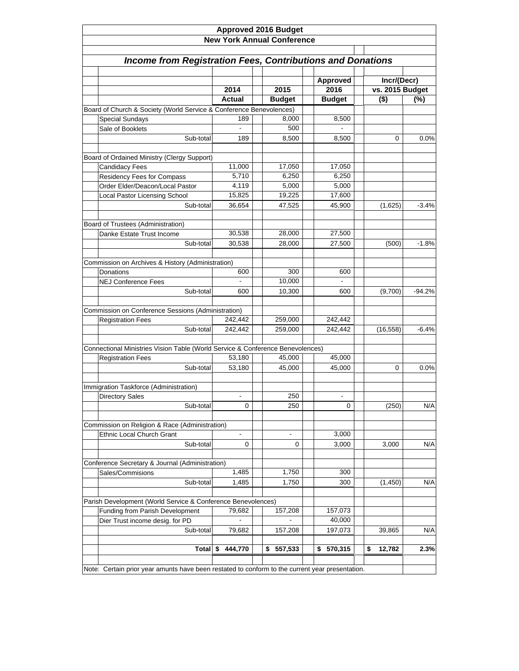| <b>Approved 2016 Budget</b><br><b>New York Annual Conference</b>                                |                                                                 |                |                          |                 |          |  |  |  |  |  |  |
|-------------------------------------------------------------------------------------------------|-----------------------------------------------------------------|----------------|--------------------------|-----------------|----------|--|--|--|--|--|--|
|                                                                                                 |                                                                 |                |                          |                 |          |  |  |  |  |  |  |
|                                                                                                 |                                                                 |                |                          |                 |          |  |  |  |  |  |  |
|                                                                                                 |                                                                 |                | <b>Approved</b>          | Incr/(Decr)     |          |  |  |  |  |  |  |
|                                                                                                 | 2014                                                            | 2015           | 2016                     | vs. 2015 Budget |          |  |  |  |  |  |  |
|                                                                                                 | <b>Actual</b>                                                   | <b>Budget</b>  | <b>Budget</b>            | $($ \$)         | $(\%)$   |  |  |  |  |  |  |
| Board of Church & Society (World Service & Conference Benevolences)                             |                                                                 |                |                          |                 |          |  |  |  |  |  |  |
| <b>Special Sundays</b>                                                                          | 189                                                             | 8,000          | 8,500                    |                 |          |  |  |  |  |  |  |
| Sale of Booklets                                                                                |                                                                 | 500            |                          |                 |          |  |  |  |  |  |  |
| Sub-total                                                                                       | 189                                                             | 8,500          | 8,500                    | 0               | $0.0\%$  |  |  |  |  |  |  |
|                                                                                                 |                                                                 |                |                          |                 |          |  |  |  |  |  |  |
| Board of Ordained Ministry (Clergy Support)                                                     |                                                                 |                |                          |                 |          |  |  |  |  |  |  |
| <b>Candidacy Fees</b>                                                                           | 11,000                                                          | 17,050         | 17,050                   |                 |          |  |  |  |  |  |  |
| Residency Fees for Compass                                                                      | 5,710<br>4,119                                                  | 6,250<br>5,000 | 6,250<br>5,000           |                 |          |  |  |  |  |  |  |
| Order Elder/Deacon/Local Pastor                                                                 | 15,825                                                          |                |                          |                 |          |  |  |  |  |  |  |
| <b>Local Pastor Licensing School</b><br>Sub-total                                               |                                                                 | 19,225         | 17,600                   |                 |          |  |  |  |  |  |  |
|                                                                                                 | 36,654                                                          | 47,525         | 45,900                   | (1,625)         | $-3.4%$  |  |  |  |  |  |  |
| Board of Trustees (Administration)                                                              |                                                                 |                |                          |                 |          |  |  |  |  |  |  |
| Danke Estate Trust Income                                                                       | 30,538                                                          | 28,000         | 27,500                   |                 |          |  |  |  |  |  |  |
| Sub-total                                                                                       | 30,538                                                          | 28,000         | 27,500                   | (500)           | $-1.8%$  |  |  |  |  |  |  |
|                                                                                                 |                                                                 |                |                          |                 |          |  |  |  |  |  |  |
| Commission on Archives & History (Administration)                                               |                                                                 |                |                          |                 |          |  |  |  |  |  |  |
| Donations                                                                                       | 600                                                             | 300            | 600                      |                 |          |  |  |  |  |  |  |
| <b>NEJ Conference Fees</b>                                                                      |                                                                 | 10,000         |                          |                 |          |  |  |  |  |  |  |
| Sub-total                                                                                       | 600                                                             | 10,300         | 600                      | (9,700)         | $-94.2%$ |  |  |  |  |  |  |
|                                                                                                 |                                                                 |                |                          |                 |          |  |  |  |  |  |  |
| Commission on Conference Sessions (Administration)                                              |                                                                 |                |                          |                 |          |  |  |  |  |  |  |
| <b>Registration Fees</b>                                                                        | 242,442                                                         | 259,000        | 242,442                  |                 |          |  |  |  |  |  |  |
| Sub-total                                                                                       | 242,442                                                         | 259,000        | 242,442                  | (16, 558)       | $-6.4%$  |  |  |  |  |  |  |
|                                                                                                 |                                                                 |                |                          |                 |          |  |  |  |  |  |  |
| Connectional Ministries Vision Table (World Service & Conference Benevolences)                  |                                                                 |                |                          |                 |          |  |  |  |  |  |  |
| <b>Registration Fees</b>                                                                        | 53,180                                                          | 45,000         | 45,000                   |                 |          |  |  |  |  |  |  |
| Sub-total                                                                                       | 53,180                                                          | 45,000         | 45,000                   | 0               | $0.0\%$  |  |  |  |  |  |  |
|                                                                                                 |                                                                 |                |                          |                 |          |  |  |  |  |  |  |
| Immigration Taskforce (Administration)                                                          |                                                                 |                |                          |                 |          |  |  |  |  |  |  |
| Directory Sales                                                                                 |                                                                 | 250            | $\overline{\phantom{a}}$ |                 |          |  |  |  |  |  |  |
| Sub-total                                                                                       | 0                                                               | 250            | 0                        | (250)           | N/A      |  |  |  |  |  |  |
|                                                                                                 |                                                                 |                |                          |                 |          |  |  |  |  |  |  |
| Commission on Religion & Race (Administration)                                                  |                                                                 |                |                          |                 |          |  |  |  |  |  |  |
| <b>Ethnic Local Church Grant</b>                                                                | -                                                               |                | 3,000                    |                 |          |  |  |  |  |  |  |
| Sub-total                                                                                       | 0                                                               | 0              | 3,000                    | 3,000           | N/A      |  |  |  |  |  |  |
|                                                                                                 |                                                                 |                |                          |                 |          |  |  |  |  |  |  |
| Conference Secretary & Journal (Administration)<br>Sales/Commisions                             | 1,485                                                           |                |                          |                 |          |  |  |  |  |  |  |
|                                                                                                 |                                                                 | 1,750          | 300                      |                 |          |  |  |  |  |  |  |
| Sub-total                                                                                       | 1,485                                                           | 1,750          | 300                      | (1,450)         | N/A      |  |  |  |  |  |  |
| Parish Development (World Service & Conference Benevolences)                                    |                                                                 |                |                          |                 |          |  |  |  |  |  |  |
|                                                                                                 | 79,682<br>157,208<br>157,073<br>Funding from Parish Development |                |                          |                 |          |  |  |  |  |  |  |
| Dier Trust income desig. for PD                                                                 |                                                                 |                | 40,000                   |                 |          |  |  |  |  |  |  |
| Sub-total                                                                                       | 79,682                                                          | 157,208        | 197,073                  | 39,865          | N/A      |  |  |  |  |  |  |
|                                                                                                 |                                                                 |                |                          |                 |          |  |  |  |  |  |  |
| Total                                                                                           | \$<br>444,770                                                   | \$<br>557,533  | 570,315<br>\$            | \$<br>12,782    | 2.3%     |  |  |  |  |  |  |
|                                                                                                 |                                                                 |                |                          |                 |          |  |  |  |  |  |  |
| Note: Certain prior year amunts have been restated to conform to the current year presentation. |                                                                 |                |                          |                 |          |  |  |  |  |  |  |
|                                                                                                 |                                                                 |                |                          |                 |          |  |  |  |  |  |  |